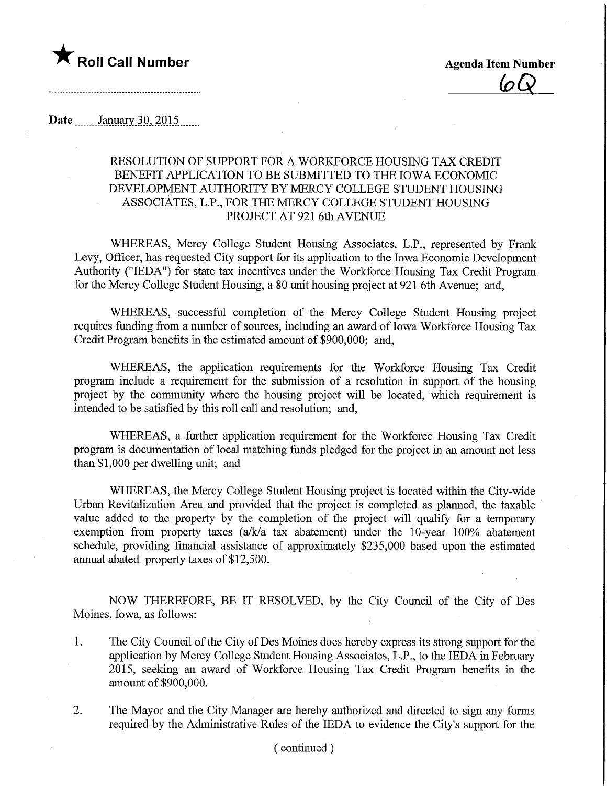

 $(a)$ 

## Date *January* 30, 2015.......

## RESOLUTION OF SUPPORT FOR A WORKFORCE HOUSING TAX CREDIT BENEFIT APPLICATION TO BE SUBMITTED TO THE IOWA ECONOMIC DEVELOPMENT AUTHORITY BY MERCY COLLEGE STUDENT HOUSING ASSOCIATES, L.P., FOR THE MERCY COLLEGE STUDENT HOUSING PROJECT AT 921 6th AVENUE

WHEREAS, Mercy College Student Housing Associates, L.P., represented by Frank Levy, Officer, has requested City support for its application to the Iowa Economic Development Authority ("IEDA") for state tax incentives under the Workforce Housing Tax Credit Program for the Mercy College Student Housing, a 80 unit housing project at 921 6th Avenue; and,

WHEREAS, successful completion of the Mercy College Student Housing project requires funding from a number of sources, including an award of Iowa Workforce Housing Tax Credit Program benefits in the estimated amount of \$900,000; and,

WHEREAS, the application requirements for the Workforce Housing Tax Credit program include a requirement for the submission of a resolution in support of the housing project by the community where the housing project will be located, which requirement is intended to be satisfied by this roll call and resolution; and,

WHEREAS, a further application requirement for the Workforce Housing Tax Credit program is documentation of local matching funds pledged for the project in an amount not less than \$1,000 per dwelling unit; and

WHEREAS, the Mercy College Stident Housing project is located within the City-wide Urban Revitalization Area and provided that the project is completed as planned, the taxable value added to the property by the completion of the project will qualify for a temporary exemption from property taxes (a/k/a tax abatement) under the 10-year 100% abatement schedule, providing financial assistance of approximately \$235,000 based upon the estimated annual abated property taxes of \$12,500.

NOW THEREFORE, BE IT RESOLVED, by the City Council of the City of Des Moines, Iowa, as follows:

- 1. The City Council of the City of Des Moines does hereby express its strong support for the application by Mercy College Student Housing Associates, L.P., to the IEDA in February 2015, seeking an award of Workforce Housing Tax Credit Program benefits in the amount of \$900,000.
- 2. The Mayor and the City Manager are hereby authorized and directed to sign any forms required by the Administrative Rules of the IEDA to evidence the City's support for the